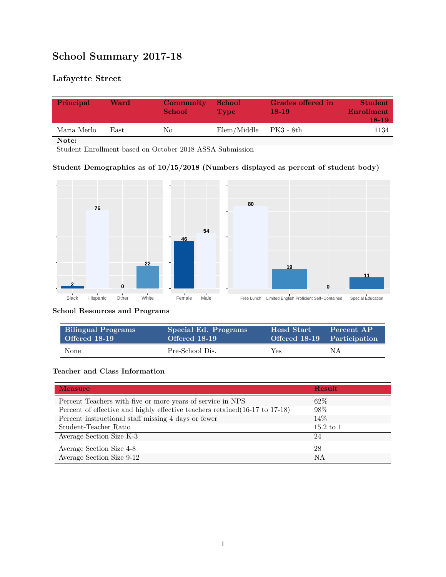# **School Summary 2017-18**

## **Lafayette Street**

| Principal   | Ward | <b>Community</b><br><b>School</b> | <b>School</b><br><b>Type</b> | Grades offered in<br>$18-19$ | <b>Student</b><br>Enrollment<br>18-19 |
|-------------|------|-----------------------------------|------------------------------|------------------------------|---------------------------------------|
| Maria Merlo | Fast | Nο                                | Elem/Middle                  | PK3 - 8th                    | 1134                                  |

**Note:**

Student Enrollment based on October 2018 ASSA Submission

#### **Student Demographics as of 10/15/2018 (Numbers displayed as percent of student body)**



#### **School Resources and Programs**

| <b>Bilingual Programs</b> | Special Ed. Programs | <b>Head Start</b> | Percent AP                  |
|---------------------------|----------------------|-------------------|-----------------------------|
| Offered 18-19             | Offered 18-19        |                   | Offered 18-19 Participation |
| None                      | Pre-School Dis.      | Yes               | ΝA                          |

#### **Teacher and Class Information**

| <b>Measure</b>                                                               | <b>Result</b> |
|------------------------------------------------------------------------------|---------------|
| Percent Teachers with five or more years of service in NPS                   | $62\%$        |
| Percent of effective and highly effective teachers retained (16-17 to 17-18) | 98\%          |
| Percent instructional staff missing 4 days or fewer                          | 14%           |
| Student-Teacher Ratio                                                        | $15.2$ to $1$ |
| Average Section Size K-3                                                     | 24            |
| Average Section Size 4-8                                                     | 28            |
| Average Section Size 9-12                                                    | NA            |